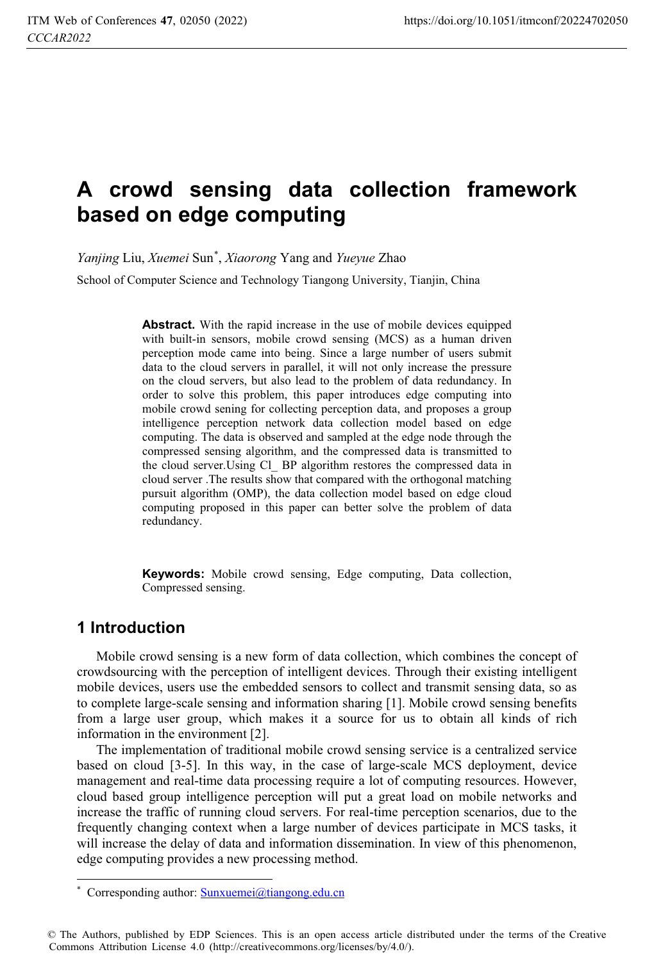# **A crowd sensing data collection framework based on edge computing**

*Yanjing* Liu, *Xuemei* Sun\* , *Xiaorong* Yang and *Yueyue* Zhao

School of Computer Science and Technology Tiangong University, Tianjin, China

**Abstract.** With the rapid increase in the use of mobile devices equipped with built-in sensors, mobile crowd sensing (MCS) as a human driven perception mode came into being. Since a large number of users submit data to the cloud servers in parallel, it will not only increase the pressure on the cloud servers, but also lead to the problem of data redundancy. In order to solve this problem, this paper introduces edge computing into mobile crowd sening for collecting perception data, and proposes a group intelligence perception network data collection model based on edge computing. The data is observed and sampled at the edge node through the compressed sensing algorithm, and the compressed data is transmitted to the cloud server.Using Cl\_ BP algorithm restores the compressed data in cloud server .The results show that compared with the orthogonal matching pursuit algorithm (OMP), the data collection model based on edge cloud computing proposed in this paper can better solve the problem of data redundancy.

**Keywords:** Mobile crowd sensing, Edge computing, Data collection, Compressed sensing.

## **1 Introduction**

 $\overline{a}$ 

Mobile crowd sensing is a new form of data collection, which combines the concept of crowdsourcing with the perception of intelligent devices. Through their existing intelligent mobile devices, users use the embedded sensors to collect and transmit sensing data, so as to complete large-scale sensing and information sharing [1]. Mobile crowd sensing benefits from a large user group, which makes it a source for us to obtain all kinds of rich information in the environment [2].

The implementation of traditional mobile crowd sensing service is a centralized service based on cloud [3-5]. In this way, in the case of large-scale MCS deployment, device management and real-time data processing require a lot of computing resources. However, cloud based group intelligence perception will put a great load on mobile networks and increase the traffic of running cloud servers. For real-time perception scenarios, due to the frequently changing context when a large number of devices participate in MCS tasks, it will increase the delay of data and information dissemination. In view of this phenomenon, edge computing provides a new processing method.

<sup>\*</sup> Corresponding author: Sunxuemei@tiangong.edu.cn

<sup>©</sup> The Authors, published by EDP Sciences. This is an open access article distributed under the terms of the Creative Commons Attribution License 4.0 (http://creativecommons.org/licenses/by/4.0/).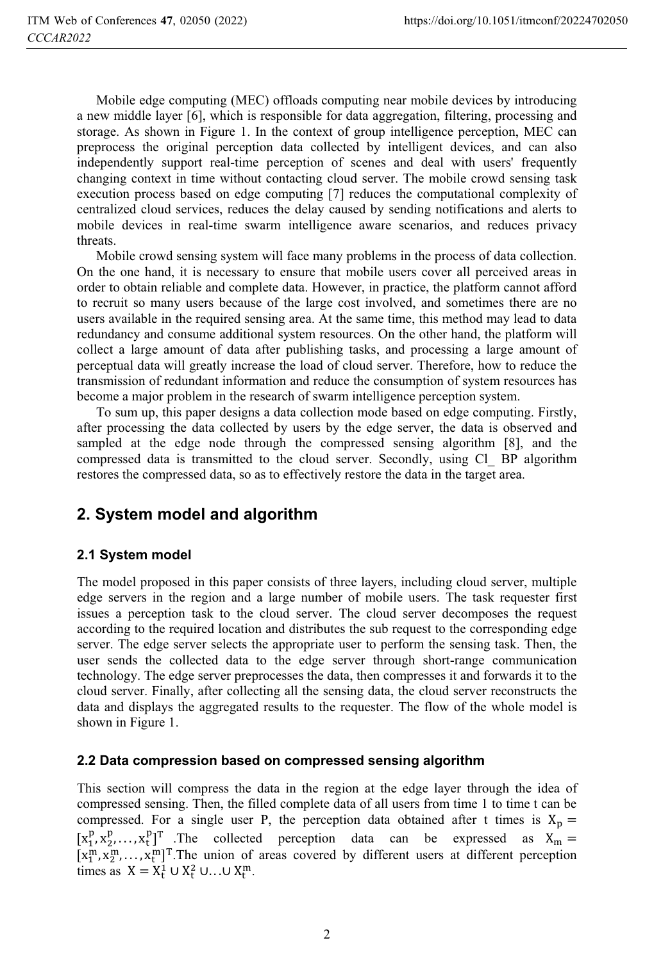Mobile edge computing (MEC) offloads computing near mobile devices by introducing a new middle layer [6], which is responsible for data aggregation, filtering, processing and storage. As shown in Figure 1. In the context of group intelligence perception, MEC can preprocess the original perception data collected by intelligent devices, and can also independently support real-time perception of scenes and deal with users' frequently changing context in time without contacting cloud server. The mobile crowd sensing task execution process based on edge computing [7] reduces the computational complexity of centralized cloud services, reduces the delay caused by sending notifications and alerts to mobile devices in real-time swarm intelligence aware scenarios, and reduces privacy threats.

Mobile crowd sensing system will face many problems in the process of data collection. On the one hand, it is necessary to ensure that mobile users cover all perceived areas in order to obtain reliable and complete data. However, in practice, the platform cannot afford to recruit so many users because of the large cost involved, and sometimes there are no users available in the required sensing area. At the same time, this method may lead to data redundancy and consume additional system resources. On the other hand, the platform will collect a large amount of data after publishing tasks, and processing a large amount of perceptual data will greatly increase the load of cloud server. Therefore, how to reduce the transmission of redundant information and reduce the consumption of system resources has become a major problem in the research of swarm intelligence perception system.

To sum up, this paper designs a data collection mode based on edge computing. Firstly, after processing the data collected by users by the edge server, the data is observed and sampled at the edge node through the compressed sensing algorithm [8], and the compressed data is transmitted to the cloud server. Secondly, using Cl\_ BP algorithm restores the compressed data, so as to effectively restore the data in the target area.

# **2. System model and algorithm**

### **2.1 System model**

The model proposed in this paper consists of three layers, including cloud server, multiple edge servers in the region and a large number of mobile users. The task requester first issues a perception task to the cloud server. The cloud server decomposes the request according to the required location and distributes the sub request to the corresponding edge server. The edge server selects the appropriate user to perform the sensing task. Then, the user sends the collected data to the edge server through short-range communication technology. The edge server preprocesses the data, then compresses it and forwards it to the cloud server. Finally, after collecting all the sensing data, the cloud server reconstructs the data and displays the aggregated results to the requester. The flow of the whole model is shown in Figure 1.

### **2.2 Data compression based on compressed sensing algorithm**

This section will compress the data in the region at the edge layer through the idea of compressed sensing. Then, the filled complete data of all users from time 1 to time t can be compressed. For a single user P, the perception data obtained after t times is  $X_p =$  $\frac{p}{m}$ ,  $x_2^p$ ,...,  $x_t^p$ <sup>T</sup>. The collected perception data can be expressed as  $X_m =$ <br>  $\frac{m}{m}$   $x_m^m$   $\frac{m}{m}$ <sup>T</sup>. The union of greas covered by different users at different perception  $\begin{bmatrix} x^m & x^m & x^m \end{bmatrix}$  $[x_1^m, x_2^m, \ldots, x_t^m]^T$ . The union of areas covered by different users at different perception times as  $X = X^1 \cup X^2 \cup \cdots \cup X^m$ times as  $X = X_t^1 \cup X_t^2 \cup ... \cup X_t^m$ .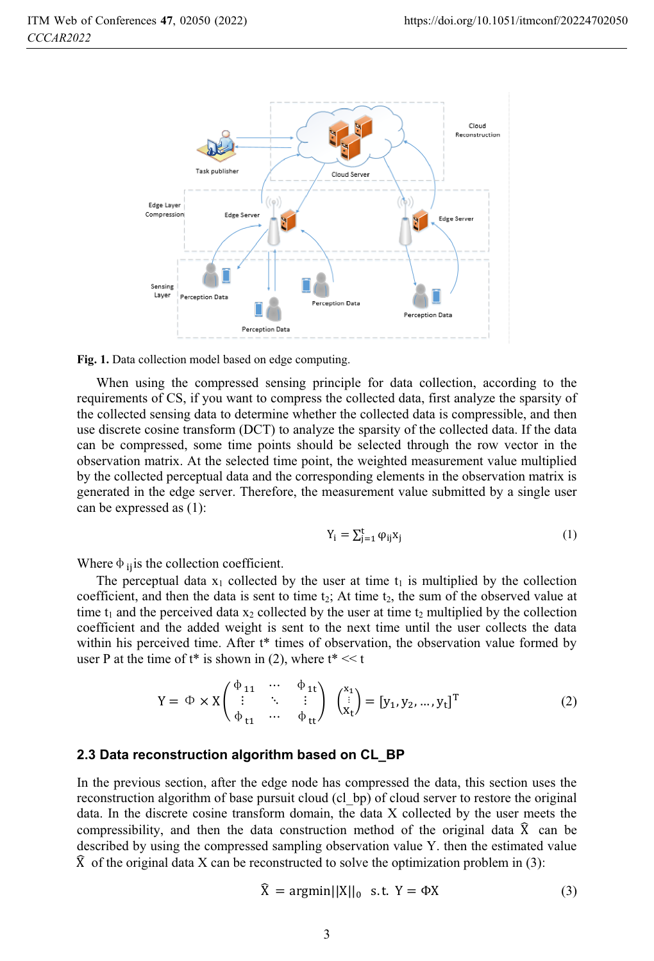

**Fig. 1.** Data collection model based on edge computing.

When using the compressed sensing principle for data collection, according to the requirements of CS, if you want to compress the collected data, first analyze the sparsity of the collected sensing data to determine whether the collected data is compressible, and then use discrete cosine transform (DCT) to analyze the sparsity of the collected data. If the data can be compressed, some time points should be selected through the row vector in the observation matrix. At the selected time point, the weighted measurement value multiplied by the collected perceptual data and the corresponding elements in the observation matrix is generated in the edge server. Therefore, the measurement value submitted by a single user can be expressed as (1):

$$
Y_i = \sum_{j=1}^t \varphi_{ij} x_j \tag{1}
$$

Where  $\Phi$  is the collection coefficient.

The perceptual data  $x_1$  collected by the user at time  $t_1$  is multiplied by the collection coefficient, and then the data is sent to time  $t_2$ ; At time  $t_2$ , the sum of the observed value at time  $t_1$  and the perceived data  $x_2$  collected by the user at time  $t_2$  multiplied by the collection coefficient and the added weight is sent to the next time until the user collects the data within his perceived time. After t<sup>\*</sup> times of observation, the observation value formed by user P at the time of  $t^*$  is shown in (2), where  $t^* \ll t$ 

$$
Y = \Phi \times X \begin{pmatrix} \Phi_{11} & \cdots & \Phi_{1t} \\ \vdots & \ddots & \vdots \\ \Phi_{t1} & \cdots & \Phi_{tt} \end{pmatrix} \begin{pmatrix} x_1 \\ \vdots \\ x_t \end{pmatrix} = [y_1, y_2, \dots, y_t]^T
$$
 (2)

#### **2.3 Data reconstruction algorithm based on CL\_BP**

In the previous section, after the edge node has compressed the data, this section uses the reconstruction algorithm of base pursuit cloud (cl\_bp) of cloud server to restore the original data. In the discrete cosine transform domain, the data X collected by the user meets the compressibility, and then the data construction method of the original data  $\hat{X}$  can be described by using the compressed sampling observation value Y. then the estimated value  $\hat{X}$  of the original data X can be reconstructed to solve the optimization problem in (3):

$$
\widehat{X} = \operatorname{argmin} \left| |X| \right|_0 \quad \text{s.t. } Y = \Phi X \tag{3}
$$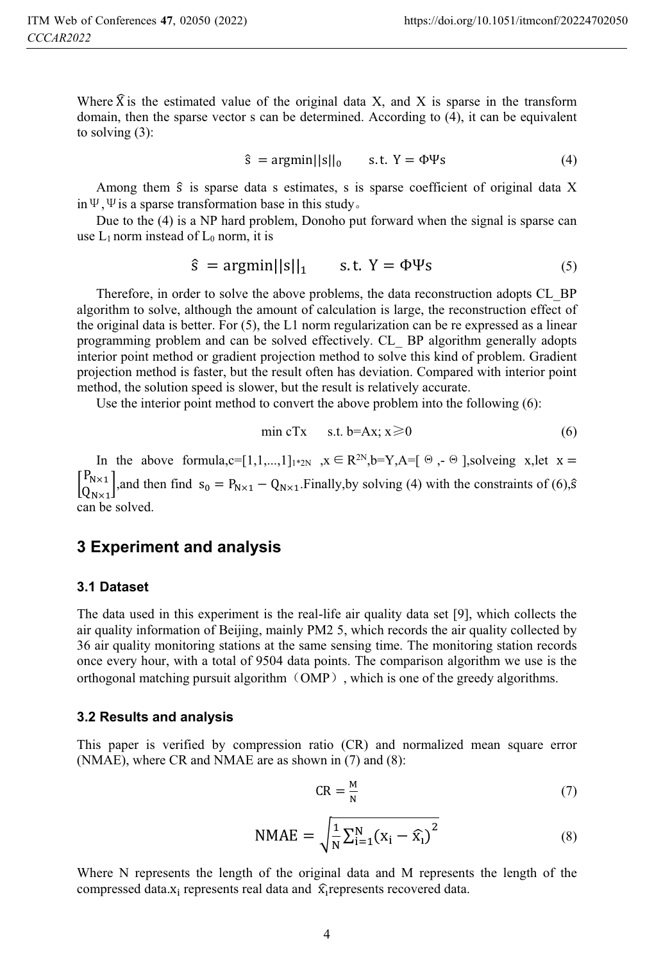Where  $\hat{X}$  is the estimated value of the original data X, and X is sparse in the transform domain, then the sparse vector s can be determined. According to (4), it can be equivalent to solving (3):

 $\hat{s} = \text{argmin} \left| \left| s \right| \right|_0$  s.t.  $Y = \Phi \Psi s$  (4)

Among them  $\hat{s}$  is sparse data s estimates, s is sparse coefficient of original data X in  $\Psi$ ,  $\Psi$  is a sparse transformation base in this study.

Due to the (4) is a NP hard problem, Donoho put forward when the signal is sparse can use  $L_1$  norm instead of  $L_0$  norm, it is

$$
\hat{s} = \operatorname{argmin} ||s||_1 \qquad s.t. \ Y = \Phi \Psi s \tag{5}
$$

Therefore, in order to solve the above problems, the data reconstruction adopts CL\_BP algorithm to solve, although the amount of calculation is large, the reconstruction effect of the original data is better. For (5), the L1 norm regularization can be re expressed as a linear programming problem and can be solved effectively. CL\_ BP algorithm generally adopts interior point method or gradient projection method to solve this kind of problem. Gradient projection method is faster, but the result often has deviation. Compared with interior point method, the solution speed is slower, but the result is relatively accurate.

Use the interior point method to convert the above problem into the following (6):

$$
\min cTx \quad s.t. \ b = Ax; \ x \geq 0 \tag{6}
$$

In the above formula,c=[1,1,...,1]<sub>1\*2N</sub>,  $x \in \mathbb{R}^{2N}$ ,b=Y,A=[ $\Theta$ ,  $\Theta$ ],solveing x,let  $x =$  $\int_{\text{Q}_{N\times 1}}^{\text{P}_{N\times 1}}$ , and then find  $s_0 = P_{N\times 1} - Q_{N\times 1}$ . Finally, by solving (4) with the constraints of (6),  $\hat{s}$  $\frac{1}{2}$  can be solved.

## **3 Experiment and analysis**

#### **3.1 Dataset**

The data used in this experiment is the real-life air quality data set [9], which collects the air quality information of Beijing, mainly PM2 5, which records the air quality collected by 36 air quality monitoring stations at the same sensing time. The monitoring station records once every hour, with a total of 9504 data points. The comparison algorithm we use is the orthogonal matching pursuit algorithm (OMP), which is one of the greedy algorithms.

#### **3.2 Results and analysis**

This paper is verified by compression ratio (CR) and normalized mean square error (NMAE), where CR and NMAE are as shown in (7) and (8):

$$
CR = \frac{M}{N} \tag{7}
$$

NMAE = 
$$
\sqrt{\frac{1}{N} \sum_{i=1}^{N} (x_i - \hat{x}_i)^2}
$$
 (8)

Where N represents the length of the original data and M represents the length of the compressed data. $x_i$  represents real data and  $\hat{x_i}$  represents recovered data.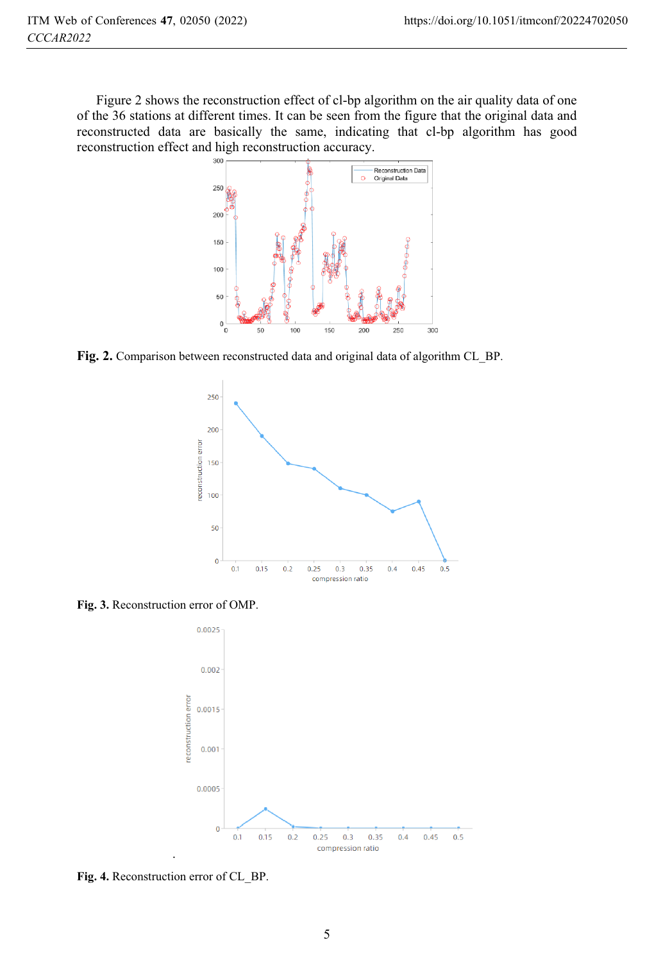Figure 2 shows the reconstruction effect of cl-bp algorithm on the air quality data of one of the 36 stations at different times. It can be seen from the figure that the original data and reconstructed data are basically the same, indicating that cl-bp algorithm has good reconstruction effect and high reconstruction accuracy.



**Fig. 2.** Comparison between reconstructed data and original data of algorithm CL\_BP.



**Fig. 3.** Reconstruction error of OMP.



**Fig. 4.** Reconstruction error of CL\_BP.